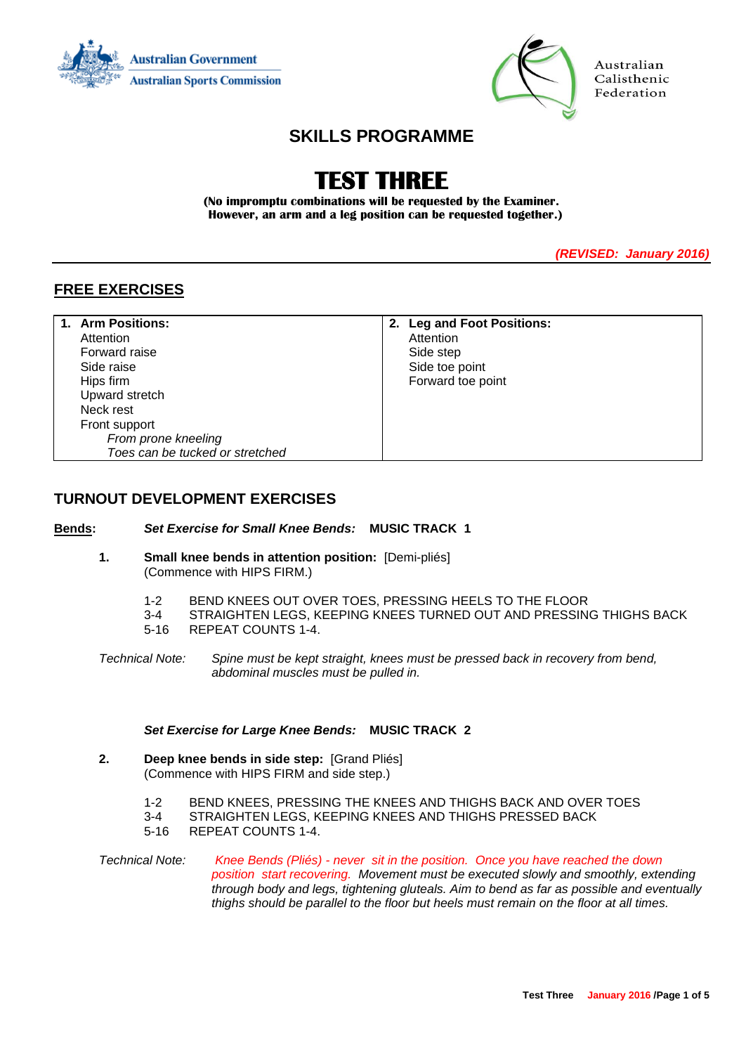



Australian Calisthenic Federation

# **SKILLS PROGRAMME**

# **TEST THREE**

**(No impromptu combinations will be requested by the Examiner. However, an arm and a leg position can be requested together.)**

*(REVISED: January 2016)*

## **FREE EXERCISES**

| 1. Arm Positions:               | 2. Leg and Foot Positions: |
|---------------------------------|----------------------------|
| Attention                       | Attention                  |
| Forward raise                   | Side step                  |
| Side raise                      | Side toe point             |
| Hips firm                       | Forward toe point          |
| Upward stretch                  |                            |
| Neck rest                       |                            |
| Front support                   |                            |
| From prone kneeling             |                            |
| Toes can be tucked or stretched |                            |

## **TURNOUT DEVELOPMENT EXERCISES**

#### **Bends:** *Set Exercise for Small Knee Bends:* **MUSIC TRACK 1**

- **1. Small knee bends in attention position:** [Demi-pliés] (Commence with HIPS FIRM.)
	- 1-2 BEND KNEES OUT OVER TOES, PRESSING HEELS TO THE FLOOR
	- 3-4 STRAIGHTEN LEGS, KEEPING KNEES TURNED OUT AND PRESSING THIGHS BACK
	- 5-16 REPEAT COUNTS 1-4.
- *Technical Note: Spine must be kept straight, knees must be pressed back in recovery from bend, abdominal muscles must be pulled in.*

#### *Set Exercise for Large Knee Bends:* **MUSIC TRACK 2**

- **2. Deep knee bends in side step:** [Grand Pliés] (Commence with HIPS FIRM and side step.)
	- 1-2 BEND KNEES, PRESSING THE KNEES AND THIGHS BACK AND OVER TOES
	- 3-4 STRAIGHTEN LEGS, KEEPING KNEES AND THIGHS PRESSED BACK<br>5-16 REPEAT COUNTS 1-4
	- 5-16 REPEAT COUNTS 1-4.
- *Technical Note: Knee Bends (Pliés) - never sit in the position. Once you have reached the down position start recovering. Movement must be executed slowly and smoothly, extending through body and legs, tightening gluteals. Aim to bend as far as possible and eventually thighs should be parallel to the floor but heels must remain on the floor at all times.*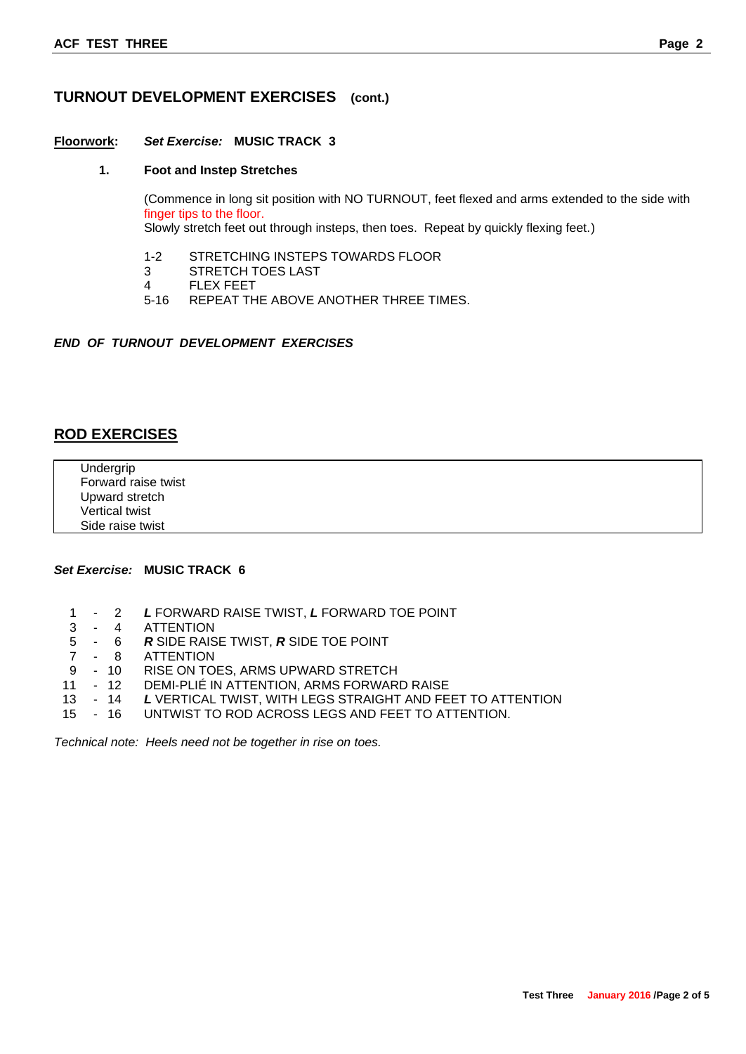## **TURNOUT DEVELOPMENT EXERCISES (cont.)**

#### **Floorwork:** *Set Exercise:* **MUSIC TRACK 3**

#### **1. Foot and Instep Stretches**

(Commence in long sit position with NO TURNOUT, feet flexed and arms extended to the side with finger tips to the floor.

Slowly stretch feet out through insteps, then toes. Repeat by quickly flexing feet.)

- 1-2 STRETCHING INSTEPS TOWARDS FLOOR
- 3 STRETCH TOES LAST
- 4 FLEX FEET
- 5-16 REPEAT THE ABOVE ANOTHER THREE TIMES.

#### *END OF TURNOUT DEVELOPMENT EXERCISES*

## **ROD EXERCISES**

Undergrip Forward raise twist Upward stretch Vertical twist Side raise twist

## *Set Exercise:* **MUSIC TRACK 6**

- 1 2 *L* FORWARD RAISE TWIST, *L* FORWARD TOE POINT
- 3 4 ATTENTION
- 5 6 *R* SIDE RAISE TWIST, *R* SIDE TOE POINT
- 7 8 ATTENTION
- 9 10 RISE ON TOES, ARMS UPWARD STRETCH
- 11 12 DEMI-PLIÉ IN ATTENTION, ARMS FORWARD RAISE
- 13 14 *L* VERTICAL TWIST, WITH LEGS STRAIGHT AND FEET TO ATTENTION
- 15 16 UNTWIST TO ROD ACROSS LEGS AND FEET TO ATTENTION.

*Technical note: Heels need not be together in rise on toes.*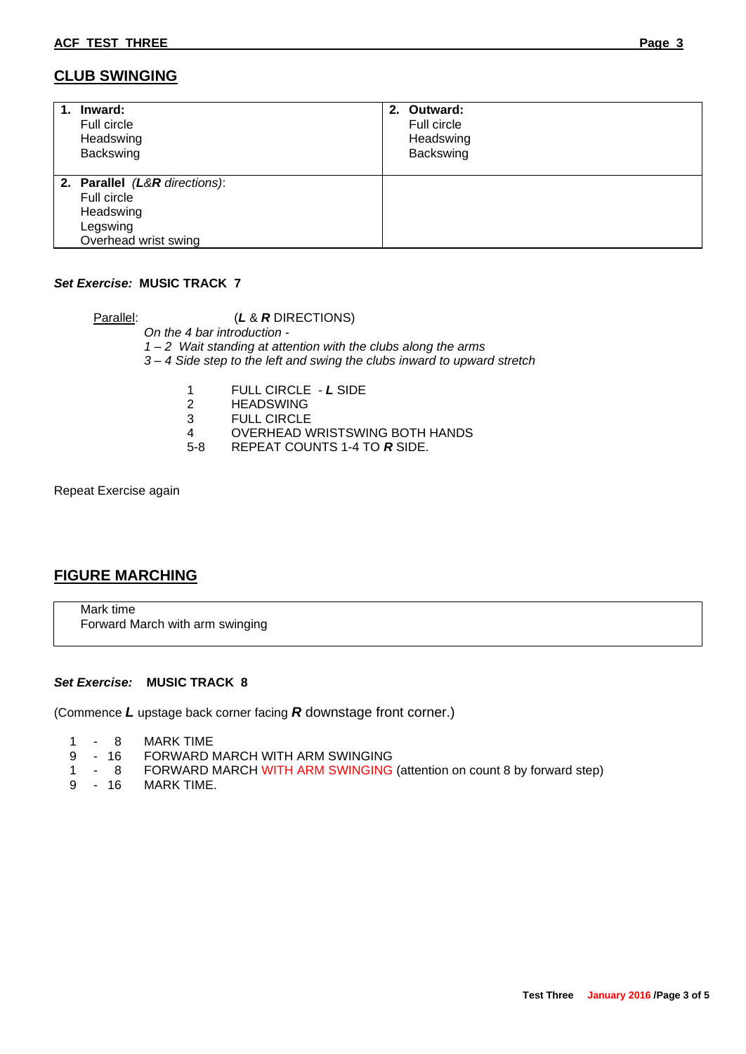## **CLUB SWINGING**

| 1. | Inward:<br>Full circle<br>Headswing<br>Backswing                                              | 2. Outward:<br>Full circle<br>Headswing<br>Backswing |
|----|-----------------------------------------------------------------------------------------------|------------------------------------------------------|
|    | 2. Parallel (L&R directions):<br>Full circle<br>Headswing<br>Legswing<br>Overhead wrist swing |                                                      |

## *Set Exercise:* **MUSIC TRACK 7**

Parallel: (*L* & *R* DIRECTIONS) *On the 4 bar introduction - 1 – 2 Wait standing at attention with the clubs along the arms 3 – 4 Side step to the left and swing the clubs inward to upward stretch*

- 1 FULL CIRCLE *L* SIDE
- 2 HEADSWING<br>3 FULL CIRCLE
- 3 FULL CIRCLE<br>4 OVERHEAD W
- 4 OVERHEAD WRISTSWING BOTH HANDS<br>5-8 REPEAT COUNTS 1-4 TO R SIDE.
- 5-8 REPEAT COUNTS 1-4 TO *R* SIDE.

Repeat Exercise again

## **FIGURE MARCHING**

Mark time Forward March with arm swinging

#### *Set Exercise:* **MUSIC TRACK 8**

(Commence *L* upstage back corner facing *R* downstage front corner.)

- 1 8 MARK TIME
- 9 16 FORWARD MARCH WITH ARM SWINGING
- 1 8 FORWARD MARCH WITH ARM SWINGING (attention on count 8 by forward step)
- 9 16 MARK TIME.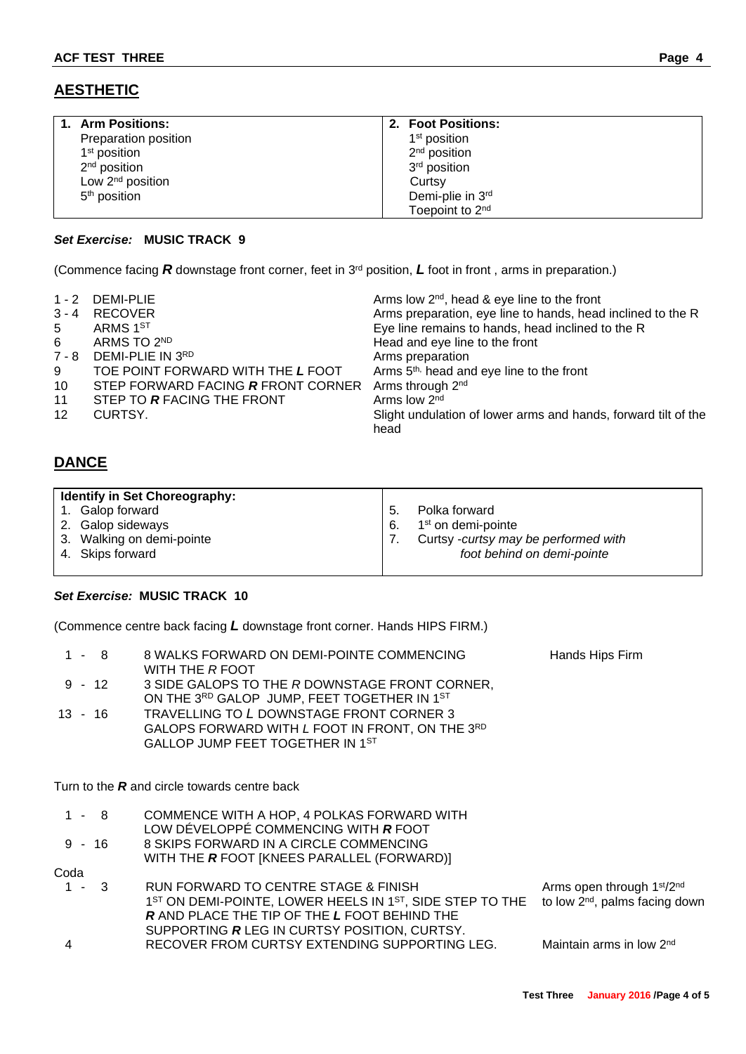# **AESTHETIC**

| 1. Arm Positions:        | 2. Foot Positions:          |
|--------------------------|-----------------------------|
| Preparation position     | 1 <sup>st</sup> position    |
| 1 <sup>st</sup> position | $2nd$ position              |
| 2 <sup>nd</sup> position | 3 <sup>rd</sup> position    |
| Low $2nd$ position       | Curtsy                      |
| 5 <sup>th</sup> position | Demi-plie in 3rd            |
|                          | Toepoint to 2 <sup>nd</sup> |

## *Set Exercise:* **MUSIC TRACK 9**

(Commence facing *R* downstage front corner, feet in 3rd position, *L* foot in front , arms in preparation.)

| 1 - 2 DEMI-PLIE<br>$3 - 4$<br><b>RECOVER</b><br>ARMS 1ST<br>5<br>ARMS TO 2ND<br>6<br>DEMI-PLIE IN 3RD<br>7 - 8<br>TOE POINT FORWARD WITH THE L FOOT<br>9<br>10<br>STEP FORWARD FACING R FRONT CORNER<br>11<br>STEP TO R FACING THE FRONT<br>$12 \overline{ }$<br>CURTSY.<br>head | Arms low $2^{nd}$ , head & eye line to the front<br>Arms preparation, eye line to hands, head inclined to the R<br>Eye line remains to hands, head inclined to the R<br>Head and eye line to the front<br>Arms preparation<br>Arms 5 <sup>th,</sup> head and eye line to the front<br>Arms through 2 <sup>nd</sup><br>Arms low 2 <sup>nd</sup><br>Slight undulation of lower arms and hands, forward tilt of the |
|----------------------------------------------------------------------------------------------------------------------------------------------------------------------------------------------------------------------------------------------------------------------------------|------------------------------------------------------------------------------------------------------------------------------------------------------------------------------------------------------------------------------------------------------------------------------------------------------------------------------------------------------------------------------------------------------------------|
|----------------------------------------------------------------------------------------------------------------------------------------------------------------------------------------------------------------------------------------------------------------------------------|------------------------------------------------------------------------------------------------------------------------------------------------------------------------------------------------------------------------------------------------------------------------------------------------------------------------------------------------------------------------------------------------------------------|

# **DANCE**

| <b>Identify in Set Choreography:</b> |                                      |
|--------------------------------------|--------------------------------------|
| 1. Galop forward                     | Polka forward<br>5.                  |
| 2. Galop sideways                    | 1 <sup>st</sup> on demi-pointe<br>6. |
| 3. Walking on demi-pointe            | Curtsy -curtsy may be performed with |
| 4. Skips forward                     | foot behind on demi-pointe           |
|                                      |                                      |

## *Set Exercise:* **MUSIC TRACK 10**

(Commence centre back facing *L* downstage front corner. Hands HIPS FIRM.)

| 1 - 8<br>8 WALKS FORWARD ON DEMI-POINTE COMMENCING<br>WITH THE R FOOT                                                                                                                                                                   | Hands Hips Firm                                                                                  |
|-----------------------------------------------------------------------------------------------------------------------------------------------------------------------------------------------------------------------------------------|--------------------------------------------------------------------------------------------------|
| $9 - 12$<br>3 SIDE GALOPS TO THE R DOWNSTAGE FRONT CORNER,<br>ON THE 3RD GALOP JUMP, FEET TOGETHER IN 1ST                                                                                                                               |                                                                                                  |
| TRAVELLING TO L DOWNSTAGE FRONT CORNER 3<br>$13 - 16$<br>GALOPS FORWARD WITH L FOOT IN FRONT, ON THE 3RD<br>GALLOP JUMP FEET TOGETHER IN 1ST                                                                                            |                                                                                                  |
| Turn to the $R$ and circle towards centre back                                                                                                                                                                                          |                                                                                                  |
| COMMENCE WITH A HOP, 4 POLKAS FORWARD WITH<br>1 - 8<br>LOW DÉVELOPPÉ COMMENCING WITH R FOOT                                                                                                                                             |                                                                                                  |
| $9 - 16$<br>8 SKIPS FORWARD IN A CIRCLE COMMENCING<br>WITH THE <b>R</b> FOOT [KNEES PARALLEL (FORWARD)]                                                                                                                                 |                                                                                                  |
| Coda                                                                                                                                                                                                                                    |                                                                                                  |
| RUN FORWARD TO CENTRE STAGE & FINISH<br>- 3<br>1 <sup>ST</sup> ON DEMI-POINTE, LOWER HEELS IN 1 <sup>ST</sup> , SIDE STEP TO THE<br><b>R AND PLACE THE TIP OF THE L FOOT BEHIND THE</b><br>SUPPORTING R LEG IN CURTSY POSITION, CURTSY. | Arms open through 1 <sup>st</sup> /2 <sup>nd</sup><br>to low 2 <sup>nd</sup> , palms facing down |
| RECOVER FROM CURTSY EXTENDING SUPPORTING LEG.<br>4                                                                                                                                                                                      | Maintain arms in low 2 <sup>nd</sup>                                                             |